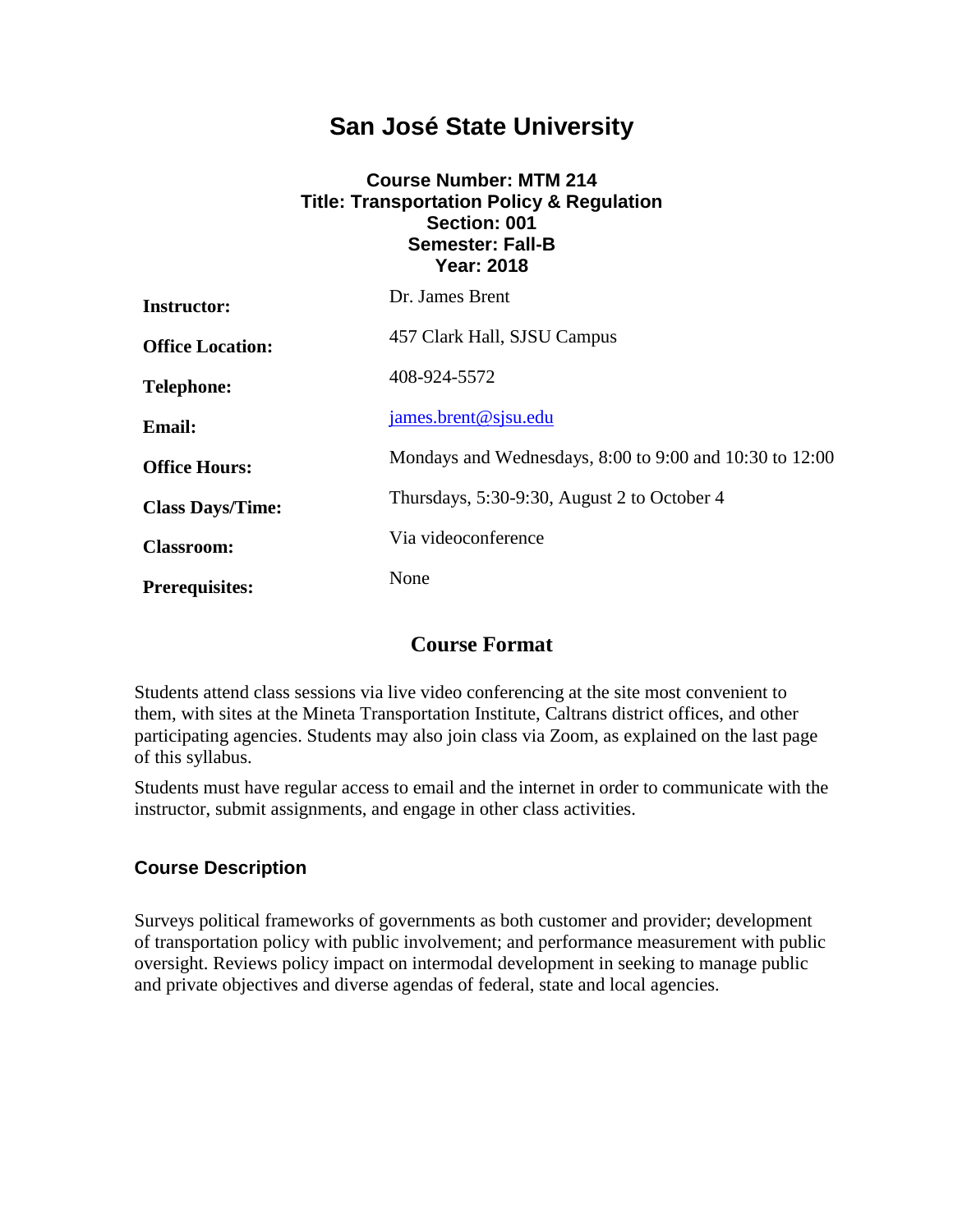## **San José State University**

#### **Course Number: MTM 214 Title: Transportation Policy & Regulation Section: 001 Semester: Fall-B Year: 2018**

| <b>Instructor:</b>      | Dr. James Brent                                         |  |
|-------------------------|---------------------------------------------------------|--|
| <b>Office Location:</b> | 457 Clark Hall, SJSU Campus                             |  |
| <b>Telephone:</b>       | 408-924-5572                                            |  |
| <b>Email:</b>           | james.brent@sjsu.edu                                    |  |
| <b>Office Hours:</b>    | Mondays and Wednesdays, 8:00 to 9:00 and 10:30 to 12:00 |  |
| <b>Class Days/Time:</b> | Thursdays, 5:30-9:30, August 2 to October 4             |  |
| <b>Classroom:</b>       | Via videoconference                                     |  |
| <b>Prerequisites:</b>   | None                                                    |  |

## **Course Format**

Students attend class sessions via live video conferencing at the site most convenient to them, with sites at the Mineta Transportation Institute, Caltrans district offices, and other participating agencies. Students may also join class via Zoom, as explained on the last page of this syllabus.

Students must have regular access to email and the internet in order to communicate with the instructor, submit assignments, and engage in other class activities.

#### **Course Description**

Surveys political frameworks of governments as both customer and provider; development of transportation policy with public involvement; and performance measurement with public oversight. Reviews policy impact on intermodal development in seeking to manage public and private objectives and diverse agendas of federal, state and local agencies.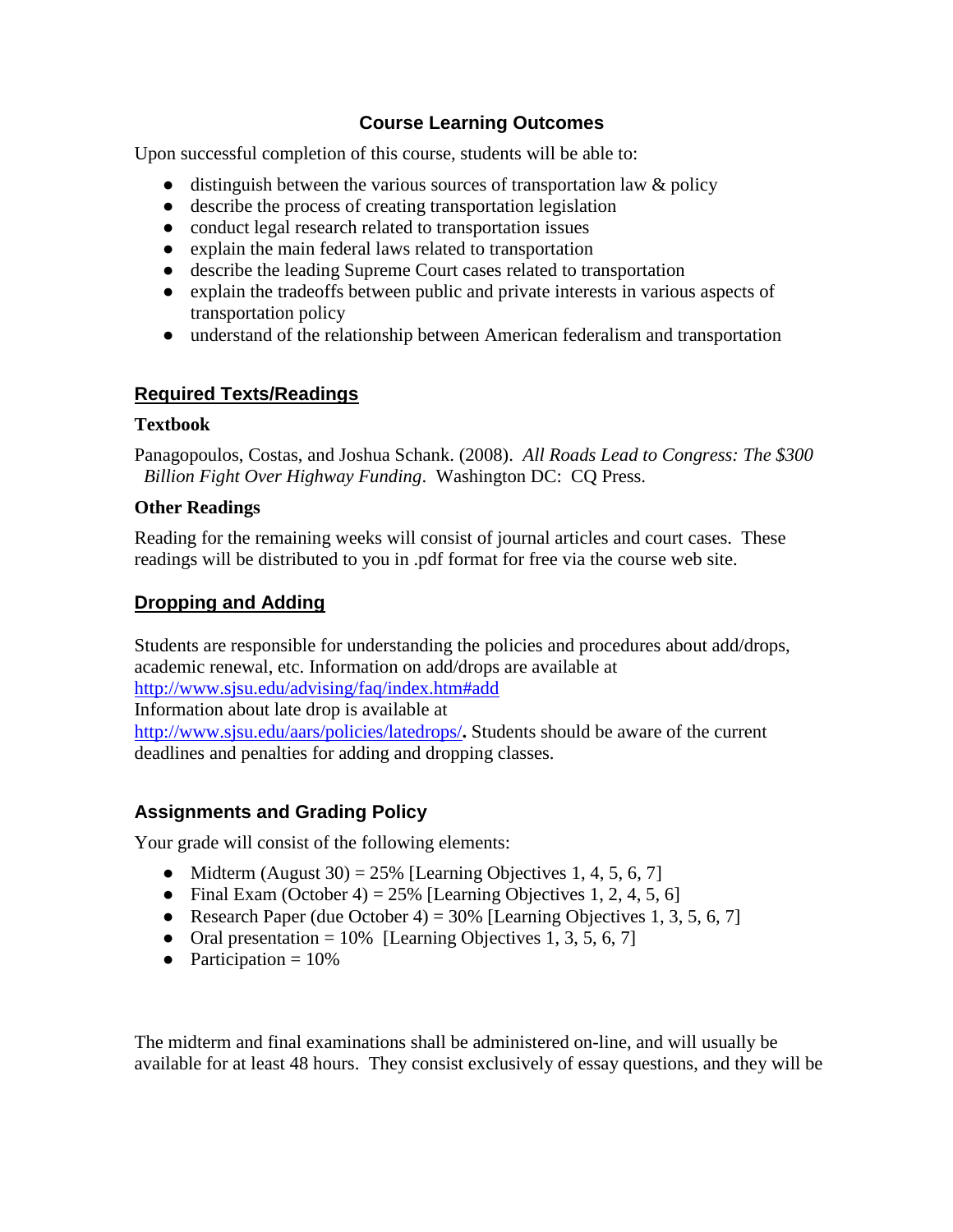#### **Course Learning Outcomes**

Upon successful completion of this course, students will be able to:

- $\bullet$  distinguish between the various sources of transportation law & policy
- describe the process of creating transportation legislation
- conduct legal research related to transportation issues
- explain the main federal laws related to transportation
- describe the leading Supreme Court cases related to transportation
- explain the tradeoffs between public and private interests in various aspects of transportation policy
- understand of the relationship between American federalism and transportation

#### **Required Texts/Readings**

#### **Textbook**

Panagopoulos, Costas, and Joshua Schank. (2008). *All Roads Lead to Congress: The \$300 Billion Fight Over Highway Funding*. Washington DC: CQ Press.

#### **Other Readings**

Reading for the remaining weeks will consist of journal articles and court cases. These readings will be distributed to you in .pdf format for free via the course web site.

#### **Dropping and Adding**

Students are responsible for understanding the policies and procedures about add/drops, academic renewal, etc. Information on add/drops are available at http://www.sjsu.edu/advising/faq/index.htm#add Information about late drop is available at http://www.sjsu.edu/aars/policies/latedrops/**.** Students should be aware of the current deadlines and penalties for adding and dropping classes.

#### **Assignments and Grading Policy**

Your grade will consist of the following elements:

- Midterm (August 30) =  $25\%$  [Learning Objectives 1, 4, 5, 6, 7]
- Final Exam (October 4) =  $25\%$  [Learning Objectives 1, 2, 4, 5, 6]
- Research Paper (due October 4) =  $30\%$  [Learning Objectives 1, 3, 5, 6, 7]
- Oral presentation  $= 10\%$  [Learning Objectives 1, 3, 5, 6, 7]
- Participation  $= 10\%$

The midterm and final examinations shall be administered on-line, and will usually be available for at least 48 hours. They consist exclusively of essay questions, and they will be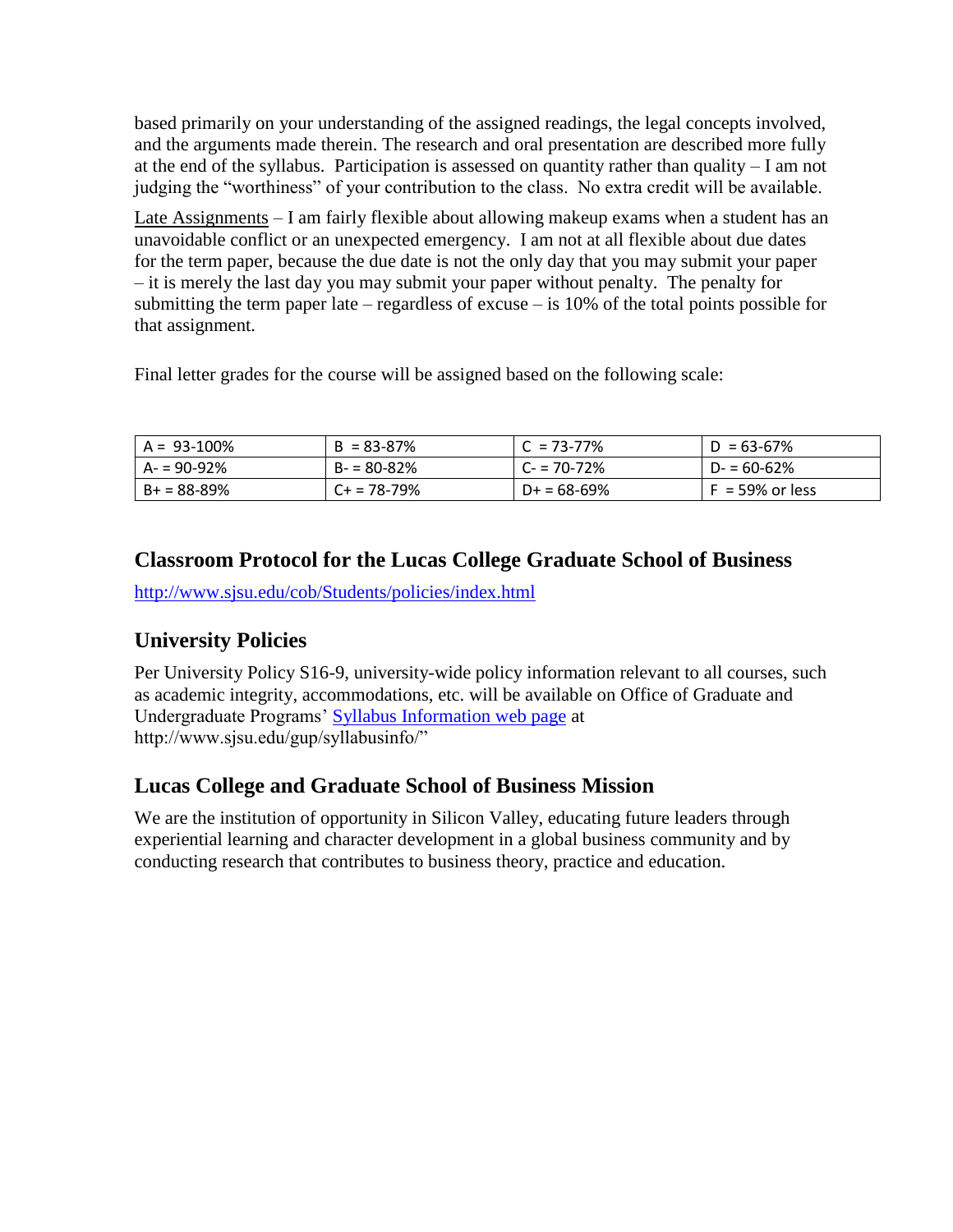based primarily on your understanding of the assigned readings, the legal concepts involved, and the arguments made therein. The research and oral presentation are described more fully at the end of the syllabus. Participation is assessed on quantity rather than quality – I am not judging the "worthiness" of your contribution to the class. No extra credit will be available.

Late Assignments – I am fairly flexible about allowing makeup exams when a student has an unavoidable conflict or an unexpected emergency. I am not at all flexible about due dates for the term paper, because the due date is not the only day that you may submit your paper – it is merely the last day you may submit your paper without penalty. The penalty for submitting the term paper late – regardless of excuse – is  $10\%$  of the total points possible for that assignment.

Final letter grades for the course will be assigned based on the following scale:

| $A = 93 - 100\%$ | $B = 83 - 87%$ | $C = 73 - 77\%$ | $D = 63 - 67\%$    |
|------------------|----------------|-----------------|--------------------|
| $A - 90 - 92%$   | $B - 80 - 82%$ | $C - 70 - 72\%$ | $D - 60 - 62%$     |
| l B+ = 88-89%    | C+ = 78-79%    | $D+ = 68-69%$   | $F = 59\%$ or less |

## **Classroom Protocol for the Lucas College Graduate School of Business**

<http://www.sjsu.edu/cob/Students/policies/index.html>

## **University Policies**

Per University Policy S16-9, university-wide policy information relevant to all courses, such as academic integrity, accommodations, etc. will be available on Office of Graduate and Undergraduate Programs' [Syllabus Information web page](http://www.sjsu.edu/gup/syllabusinfo/) at http://www.sjsu.edu/gup/syllabusinfo/"

### **Lucas College and Graduate School of Business Mission**

We are the institution of opportunity in Silicon Valley, educating future leaders through experiential learning and character development in a global business community and by conducting research that contributes to business theory, practice and education.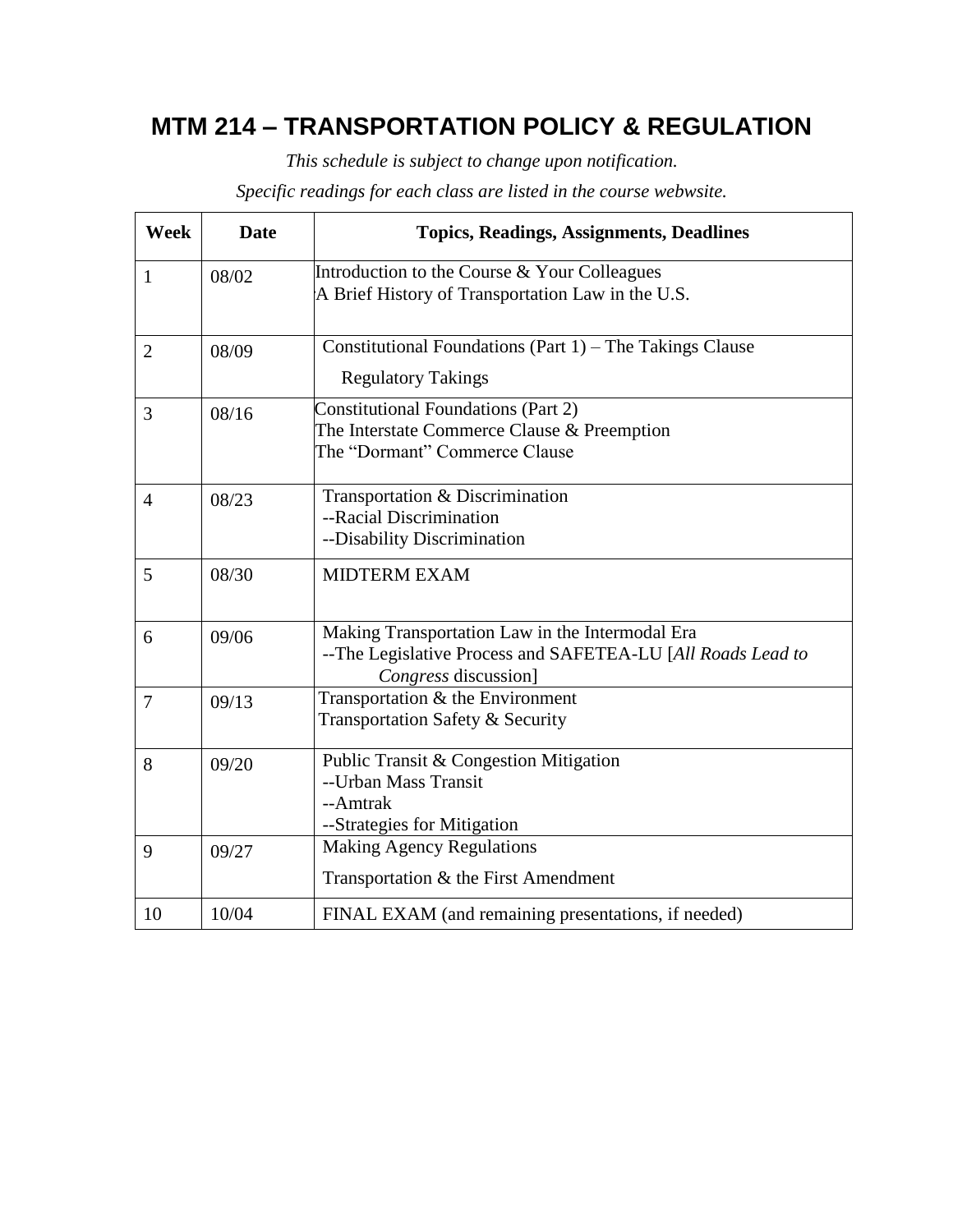# **MTM 214 – TRANSPORTATION POLICY & REGULATION**

*This schedule is subject to change upon notification.*

*Specific readings for each class are listed in the course webwsite.*

| <b>Week</b>             | <b>Date</b>                                              | <b>Topics, Readings, Assignments, Deadlines</b>             |
|-------------------------|----------------------------------------------------------|-------------------------------------------------------------|
| $\mathbf{1}$            | 08/02                                                    | Introduction to the Course & Your Colleagues                |
|                         |                                                          | A Brief History of Transportation Law in the U.S.           |
| 08/09<br>$\overline{2}$ | Constitutional Foundations (Part 1) – The Takings Clause |                                                             |
|                         |                                                          | <b>Regulatory Takings</b>                                   |
| 08/16<br>3              |                                                          | <b>Constitutional Foundations (Part 2)</b>                  |
|                         |                                                          | The Interstate Commerce Clause & Preemption                 |
|                         |                                                          | The "Dormant" Commerce Clause                               |
| 08/23<br>$\overline{4}$ | Transportation & Discrimination                          |                                                             |
|                         |                                                          | --Racial Discrimination                                     |
|                         | --Disability Discrimination                              |                                                             |
| 5                       | 08/30                                                    | <b>MIDTERM EXAM</b>                                         |
|                         |                                                          |                                                             |
| 6                       | 09/06                                                    | Making Transportation Law in the Intermodal Era             |
|                         |                                                          | --The Legislative Process and SAFETEA-LU [All Roads Lead to |
|                         |                                                          | Congress discussion]                                        |
| 7                       | 09/13                                                    | Transportation & the Environment                            |
|                         |                                                          | Transportation Safety & Security                            |
| 8                       | 09/20                                                    | Public Transit & Congestion Mitigation                      |
|                         |                                                          | --Urban Mass Transit                                        |
|                         |                                                          | --Amtrak                                                    |
|                         |                                                          | --Strategies for Mitigation                                 |
| 9                       | 09/27                                                    | <b>Making Agency Regulations</b>                            |
|                         |                                                          | Transportation & the First Amendment                        |
| 10                      | 10/04                                                    | FINAL EXAM (and remaining presentations, if needed)         |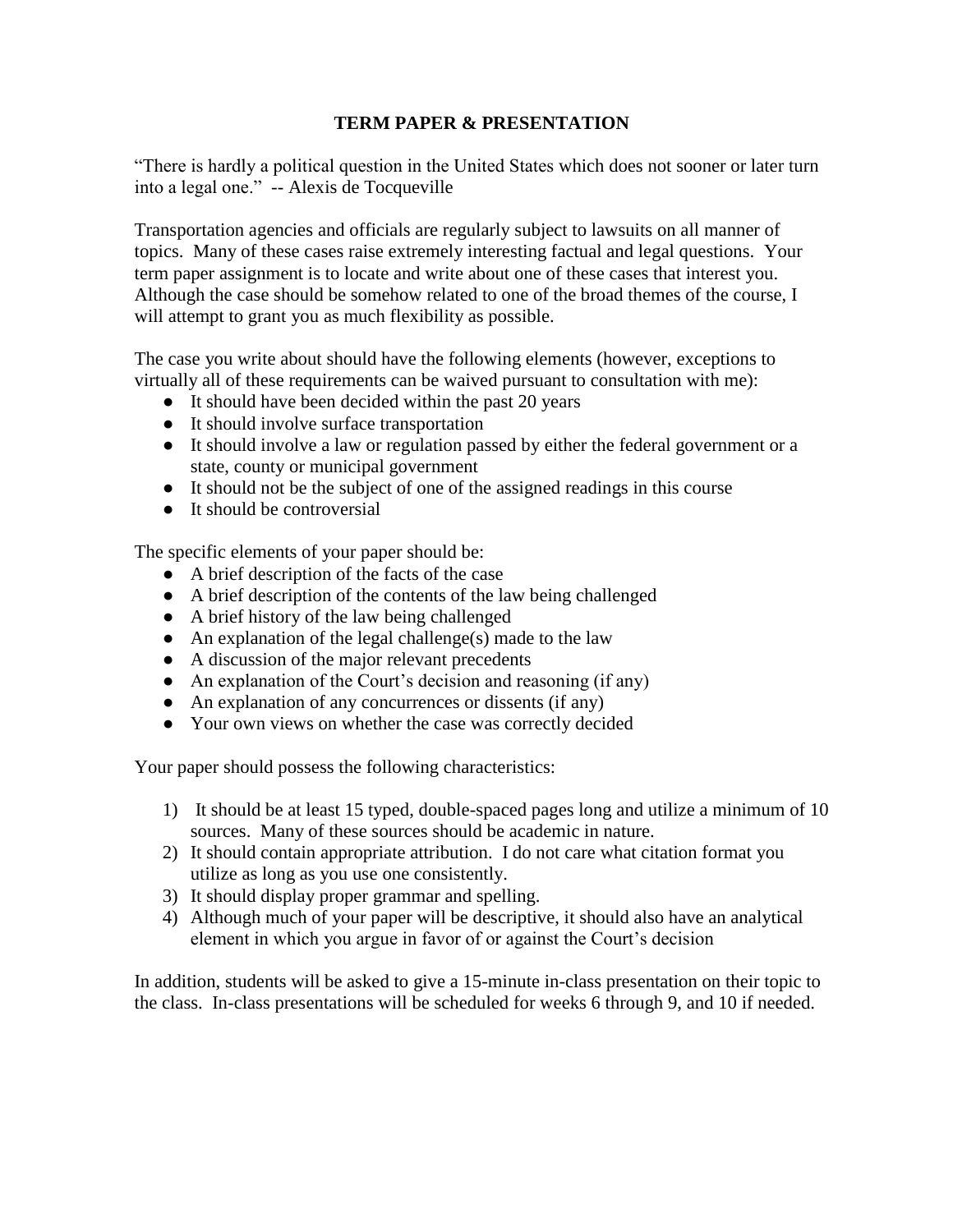#### **TERM PAPER & PRESENTATION**

"There is hardly a political question in the United States which does not sooner or later turn into a legal one." -- Alexis de Tocqueville

Transportation agencies and officials are regularly subject to lawsuits on all manner of topics. Many of these cases raise extremely interesting factual and legal questions. Your term paper assignment is to locate and write about one of these cases that interest you. Although the case should be somehow related to one of the broad themes of the course, I will attempt to grant you as much flexibility as possible.

The case you write about should have the following elements (however, exceptions to virtually all of these requirements can be waived pursuant to consultation with me):

- It should have been decided within the past 20 years
- It should involve surface transportation
- It should involve a law or regulation passed by either the federal government or a state, county or municipal government
- It should not be the subject of one of the assigned readings in this course
- $\bullet$  It should be controversial

The specific elements of your paper should be:

- A brief description of the facts of the case
- A brief description of the contents of the law being challenged
- A brief history of the law being challenged
- $\bullet$  An explanation of the legal challenge(s) made to the law
- A discussion of the major relevant precedents
- An explanation of the Court's decision and reasoning (if any)
- An explanation of any concurrences or dissents (if any)
- Your own views on whether the case was correctly decided

Your paper should possess the following characteristics:

- 1) It should be at least 15 typed, double-spaced pages long and utilize a minimum of 10 sources. Many of these sources should be academic in nature.
- 2) It should contain appropriate attribution. I do not care what citation format you utilize as long as you use one consistently.
- 3) It should display proper grammar and spelling.
- 4) Although much of your paper will be descriptive, it should also have an analytical element in which you argue in favor of or against the Court's decision

In addition, students will be asked to give a 15-minute in-class presentation on their topic to the class. In-class presentations will be scheduled for weeks 6 through 9, and 10 if needed.